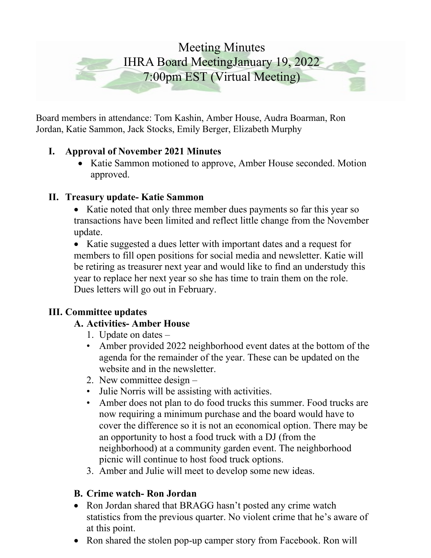# Meeting Minutes IHRA Board MeetingJanuary 19, 2022 7:00pm EST (Virtual Meeting)

Board members in attendance: Tom Kashin, Amber House, Audra Boarman, Ron Jordan, Katie Sammon, Jack Stocks, Emily Berger, Elizabeth Murphy

# **I. Approval of November 2021 Minutes**

• Katie Sammon motioned to approve, Amber House seconded. Motion approved.

# **II. Treasury update- Katie Sammon**

• Katie noted that only three member dues payments so far this year so transactions have been limited and reflect little change from the November update.

• Katie suggested a dues letter with important dates and a request for members to fill open positions for social media and newsletter. Katie will be retiring as treasurer next year and would like to find an understudy this year to replace her next year so she has time to train them on the role. Dues letters will go out in February.

#### **III. Committee updates**

#### **A. Activities- Amber House**

- 1. Update on dates –
- Amber provided 2022 neighborhood event dates at the bottom of the agenda for the remainder of the year. These can be updated on the website and in the newsletter.
- 2. New committee design –
- Julie Norris will be assisting with activities.
- Amber does not plan to do food trucks this summer. Food trucks are now requiring a minimum purchase and the board would have to cover the difference so it is not an economical option. There may be an opportunity to host a food truck with a DJ (from the neighborhood) at a community garden event. The neighborhood picnic will continue to host food truck options.
- 3. Amber and Julie will meet to develop some new ideas.

# **B. Crime watch- Ron Jordan**

- Ron Jordan shared that BRAGG hasn't posted any crime watch statistics from the previous quarter. No violent crime that he's aware of at this point.
- Ron shared the stolen pop-up camper story from Facebook. Ron will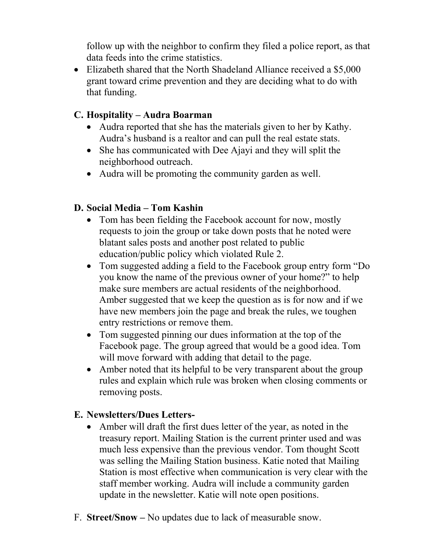follow up with the neighbor to confirm they filed a police report, as that data feeds into the crime statistics.

• Elizabeth shared that the North Shadeland Alliance received a \$5,000 grant toward crime prevention and they are deciding what to do with that funding.

### **C. Hospitality – Audra Boarman**

- Audra reported that she has the materials given to her by Kathy. Audra's husband is a realtor and can pull the real estate stats.
- She has communicated with Dee Ajayi and they will split the neighborhood outreach.
- Audra will be promoting the community garden as well.

#### **D. Social Media – Tom Kashin**

- Tom has been fielding the Facebook account for now, mostly requests to join the group or take down posts that he noted were blatant sales posts and another post related to public education/public policy which violated Rule 2.
- Tom suggested adding a field to the Facebook group entry form "Do you know the name of the previous owner of your home?" to help make sure members are actual residents of the neighborhood. Amber suggested that we keep the question as is for now and if we have new members join the page and break the rules, we toughen entry restrictions or remove them.
- Tom suggested pinning our dues information at the top of the Facebook page. The group agreed that would be a good idea. Tom will move forward with adding that detail to the page.
- Amber noted that its helpful to be very transparent about the group rules and explain which rule was broken when closing comments or removing posts.

#### **E. Newsletters/Dues Letters-**

- Amber will draft the first dues letter of the year, as noted in the treasury report. Mailing Station is the current printer used and was much less expensive than the previous vendor. Tom thought Scott was selling the Mailing Station business. Katie noted that Mailing Station is most effective when communication is very clear with the staff member working. Audra will include a community garden update in the newsletter. Katie will note open positions.
- F. **Street/Snow –** No updates due to lack of measurable snow.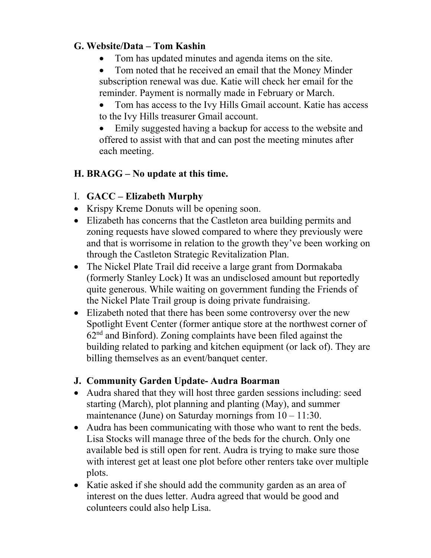# **G. Website/Data – Tom Kashin**

- Tom has updated minutes and agenda items on the site.
- Tom noted that he received an email that the Money Minder subscription renewal was due. Katie will check her email for the reminder. Payment is normally made in February or March.
- Tom has access to the Ivy Hills Gmail account. Katie has access to the Ivy Hills treasurer Gmail account.

Emily suggested having a backup for access to the website and offered to assist with that and can post the meeting minutes after each meeting.

# **H. BRAGG – No update at this time.**

# I. **GACC – Elizabeth Murphy**

- Krispy Kreme Donuts will be opening soon.
- Elizabeth has concerns that the Castleton area building permits and zoning requests have slowed compared to where they previously were and that is worrisome in relation to the growth they've been working on through the Castleton Strategic Revitalization Plan.
- The Nickel Plate Trail did receive a large grant from Dormakaba (formerly Stanley Lock) It was an undisclosed amount but reportedly quite generous. While waiting on government funding the Friends of the Nickel Plate Trail group is doing private fundraising.
- Elizabeth noted that there has been some controversy over the new Spotlight Event Center (former antique store at the northwest corner of  $62<sup>nd</sup>$  and Binford). Zoning complaints have been filed against the building related to parking and kitchen equipment (or lack of). They are billing themselves as an event/banquet center.

# **J. Community Garden Update- Audra Boarman**

- Audra shared that they will host three garden sessions including: seed starting (March), plot planning and planting (May), and summer maintenance (June) on Saturday mornings from  $10 - 11:30$ .
- Audra has been communicating with those who want to rent the beds. Lisa Stocks will manage three of the beds for the church. Only one available bed is still open for rent. Audra is trying to make sure those with interest get at least one plot before other renters take over multiple plots.
- Katie asked if she should add the community garden as an area of interest on the dues letter. Audra agreed that would be good and colunteers could also help Lisa.